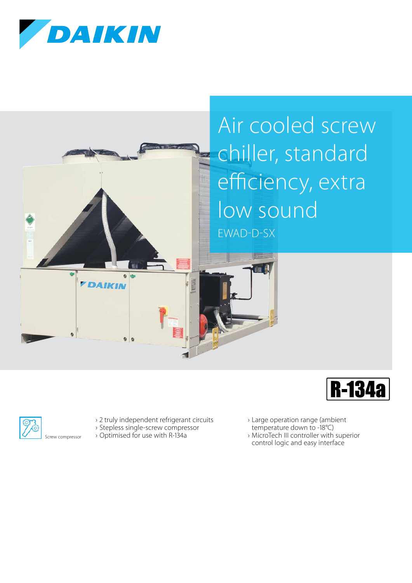

*FDAIKIN* 

## Air cooled screw chiller, standard efficiency, extra low sound EWAD-D-SX





› 2 truly independent refrigerant circuits

- › Stepless single-screw compressor
- › Optimised for use with R-134a

 $0<sup>0</sup>$ 

- › Large operation range (ambient
- temperature down to -18°C)
- › MicroTech III controller with superior control logic and easy interface